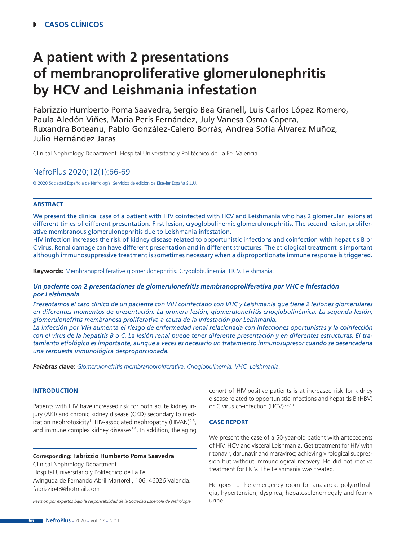# **A patient with 2 presentations of membranoproliferative glomerulonephritis by HCV and Leishmania infestation**

Fabrizzio Humberto Poma Saavedra, Sergio Bea Granell, Luis Carlos López Romero, Paula Aledón Viñes, Maria Peris Fernández, July Vanesa Osma Capera, Ruxandra Boteanu, Pablo González-Calero Borrás, Andrea Sofía Álvarez Muñoz, Julio Hernández Jaras

Clinical Nephrology Department. Hospital Universitario y Politécnico de La Fe. Valencia

# NefroPlus 2020;12(1):66-69

© 2020 Sociedad Española de Nefrología. Servicios de edición de Elsevier España S.L.U.

# **ABSTRACT**

We present the clinical case of a patient with HIV coinfected with HCV and Leishmania who has 2 glomerular lesions at different times of different presentation. First lesion, cryoglobulinemic glomerulonephritis. The second lesion, proliferative membranous glomerulonephritis due to Leishmania infestation.

HIV infection increases the risk of kidney disease related to opportunistic infections and coinfection with hepatitis B or C virus. Renal damage can have different presentation and in different structures. The etiological treatment is important although immunosuppressive treatment is sometimes necessary when a disproportionate immune response is triggered.

**Keywords:** Membranoproliferative glomerulonephritis. Cryoglobulinemia. HCV. Leishmania.

# *Un paciente con 2 presentaciones de glomerulonefritis membranoproliferativa por VHC e infestación por Leishmania*

*Presentamos el caso clínico de un paciente con VIH coinfectado con VHC y Leishmania que tiene 2 lesiones glomerulares en diferentes momentos de presentación. La primera lesión, glomerulonefritis crioglobulinémica. La segunda lesión, glomerulonefritis membranosa proliferativa a causa de la infestación por Leishmania.*

*La infección por VIH aumenta el riesgo de enfermedad renal relacionada con infecciones oportunistas y la coinfección con el virus de la hepatitis B o C. La lesión renal puede tener diferente presentación y en diferentes estructuras. El tratamiento etiológico es importante, aunque a veces es necesario un tratamiento inmunosupresor cuando se desencadena una respuesta inmunológica desproporcionada.*

*Palabras clave: Glomerulonefritis membranoproliferativa. Crioglobulinemia. VHC. Leishmania.*

# **INTRODUCTION**

Patients with HIV have increased risk for both acute kidney injury (AKI) and chronic kidney disease (CKD) secondary to medication nephrotoxicity<sup>1</sup>, HIV-associated nephropathy (HIVAN)<sup>2-5</sup>, and immune complex kidney diseases<sup>5-9</sup>. In addition, the aging

#### **Corresponding: Fabrizzio Humberto Poma Saavedra**

Clinical Nephrology Department.

Hospital Universitario y Politécnico de La Fe.

Avinguda de Fernando Abril Martorell, 106, 46026 Valencia. fabrizzio48@hotmail.com

*Revisión por expertos bajo la responsabilidad de la Sociedad Española de Nefrología.*

cohort of HIV-positive patients is at increased risk for kidney disease related to opportunistic infections and hepatitis B (HBV) or C virus co-infection (HCV)<sup>5,9,10</sup>.

#### **CASE REPORT**

We present the case of a 50-year-old patient with antecedents of HIV, HCV and visceral Leishmania. Get treatment for HIV with ritonavir, darunavir and maraviroc; achieving virological suppression but without immunological recovery. He did not receive treatment for HCV. The Leishmania was treated.

He goes to the emergency room for anasarca, polyarthralgia, hypertension, dyspnea, hepatosplenomegaly and foamy urine.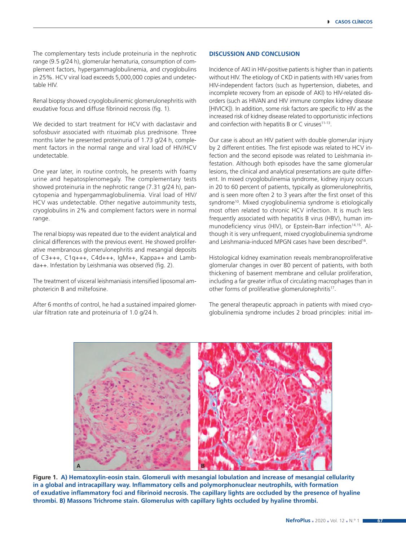The complementary tests include proteinuria in the nephrotic range (9.5 g/24 h), glomerular hematuria, consumption of complement factors, hypergammaglobulinemia, and cryoglobulins in 25%. HCV viral load exceeds 5,000,000 copies and undetectable HIV.

Renal biopsy showed cryoglobulinemic glomerulonephritis with exudative focus and diffuse fibrinoid necrosis (fig. 1).

We decided to start treatment for HCV with daclastavir and sofosbuvir associated with rituximab plus prednisone. Three months later he presented proteinuria of 1.73 g/24 h, complement factors in the normal range and viral load of HIV/HCV undetectable.

One year later, in routine controls, he presents with foamy urine and hepatosplenomegaly. The complementary tests showed proteinuria in the nephrotic range (7.31 g/24 h), pancytopenia and hypergammaglobulinemia. Viral load of HIV/ HCV was undetectable. Other negative autoimmunity tests, cryoglobulins in 2% and complement factors were in normal range.

The renal biopsy was repeated due to the evident analytical and clinical differences with the previous event. He showed proliferative membranous glomerulonephritis and mesangial deposits of C3+++, C1q+++, C4d+++, IgM++, Kappa++ and Lambda++. Infestation by Leishmania was observed (fig. 2).

The treatment of visceral leishmaniasis intensified liposomal amphotericin B and miltefosine.

After 6 months of control, he had a sustained impaired glomerular filtration rate and proteinuria of 1.0 g/24 h.

### **DISCUSSION AND CONCLUSION**

Incidence of AKI in HIV-positive patients is higher than in patients without HIV. The etiology of CKD in patients with HIV varies from HIV-independent factors (such as hypertension, diabetes, and incomplete recovery from an episode of AKI) to HIV-related disorders (such as HIVAN and HIV immune complex kidney disease [HIVICK]). In addition, some risk factors are specific to HIV as the increased risk of kidney disease related to opportunistic infections and coinfection with hepatitis B or C viruses<sup>11-13</sup>.

Our case is about an HIV patient with double glomerular injury by 2 different entities. The first episode was related to HCV infection and the second episode was related to Leishmania infestation. Although both episodes have the same glomerular lesions, the clinical and analytical presentations are quite different. In mixed cryoglobulinemia syndrome, kidney injury occurs in 20 to 60 percent of patients, typically as glomerulonephritis, and is seen more often 2 to 3 years after the first onset of this syndrome<sup>10</sup>. Mixed cryoglobulinemia syndrome is etiologically most often related to chronic HCV infection. It is much less frequently associated with hepatitis B virus (HBV), human immunodeficiency virus (HIV), or Epstein-Barr infection<sup>14,15</sup>. Although it is very unfrequent, mixed cryoglobulinemia syndrome and Leishmania-induced MPGN cases have been described<sup>16</sup>.

Histological kidney examination reveals membranoproliferative glomerular changes in over 80 percent of patients, with both thickening of basement membrane and cellular proliferation, including a far greater influx of circulating macrophages than in other forms of proliferative glomerulonephritis<sup>17</sup>.

The general therapeutic approach in patients with mixed cryoglobulinemia syndrome includes 2 broad principles: initial im-



**Figure 1. A) Hematoxylin-eosin stain. Glomeruli with mesangial lobulation and increase of mesangial cellularity in a global and intracapillary way. Inflammatory cells and polymorphonuclear neutrophils, with formation of exudative inflammatory foci and fibrinoid necrosis. The capillary lights are occluded by the presence of hyaline thrombi. B) Massons Trichrome stain. Glomerulus with capillary lights occluded by hyaline thrombi.**

**67**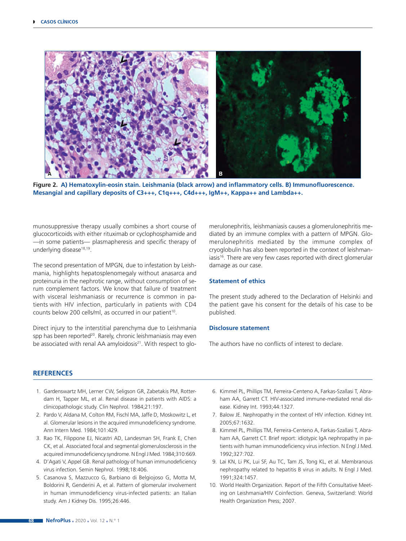

**Figure 2. A) Hematoxylin-eosin stain. Leishmania (black arrow) and inflammatory cells. B) Immunofluorescence. Mesangial and capillary deposits of C3+++, C1q+++, C4d+++, IgM++, Kappa++ and Lambda++.**

munosuppressive therapy usually combines a short course of glucocorticoids with either rituximab or cyclophosphamide and —in some patients— plasmapheresis and specific therapy of underlying disease<sup>18,19</sup>.

The second presentation of MPGN, due to infestation by Leishmania, highlights hepatosplenomegaly without anasarca and proteinuria in the nephrotic range, without consumption of serum complement factors. We know that failure of treatment with visceral leishmaniasis or recurrence is common in patients with HIV infection, particularly in patients with CD4 counts below 200 cells/ml, as occurred in our patient<sup>10</sup>.

Direct injury to the interstitial parenchyma due to Leishmania spp has been reported<sup>20</sup>. Rarely, chronic leishmaniasis may even be associated with renal AA amyloidosis<sup>21</sup>. With respect to glomerulonephritis, leishmaniasis causes a glomerulonephritis mediated by an immune complex with a pattern of MPGN. Glomerulonephritis mediated by the immune complex of cryoglobulin has also been reported in the context of leishmaniasis<sup>16</sup>. There are very few cases reported with direct glomerular damage as our case.

#### **Statement of ethics**

The present study adhered to the Declaration of Helsinki and the patient gave his consent for the details of his case to be published.

#### **Disclosure statement**

The authors have no conflicts of interest to declare.

#### **REFERENCES**

- 1. Gardenswartz MH, Lerner CW, Seligson GR, Zabetakis PM, Rotterdam H, Tapper ML, et al. Renal disease in patients with AIDS: a clinicopathologic study. Clin Nephrol. 1984;21:197.
- 2. Pardo V, Aldana M, Colton RM, Fischl MA, Jaffe D, Moskowitz L, et al. Glomerular lesions in the acquired immunodeficiency syndrome. Ann Intern Med. 1984;101:429.
- 3. Rao TK, Filippone EJ, Nicastri AD, Landesman SH, Frank E, Chen CK, et al. Associated focal and segmental glomerulosclerosis in the acquired immunodeficiency syndrome. N Engl J Med. 1984;310:669.
- 4. D'Agati V, Appel GB. Renal pathology of human immunodeficiency virus infection. Semin Nephrol. 1998;18:406.
- 5. Casanova S, Mazzucco G, Barbiano di Belgiojoso G, Motta M, Boldorini R, Genderini A, et al. Pattern of glomerular involvement in human immunodeficiency virus-infected patients: an Italian study. Am J Kidney Dis. 1995;26:446.
- 6. Kimmel PL, Phillips TM, Ferreira-Centeno A, Farkas-Szallasi T, Abraham AA, Garrett CT. HIV-associated immune-mediated renal disease. Kidney Int. 1993;44:1327.
- 7. Balow JE. Nephropathy in the context of HIV infection. Kidney Int. 2005;67:1632.
- 8. Kimmel PL, Phillips TM, Ferreira-Centeno A, Farkas-Szallasi T, Abraham AA, Garrett CT. Brief report: idiotypic IgA nephropathy in patients with human immunodeficiency virus infection. N Engl J Med. 1992;327:702.
- 9. Lai KN, Li PK, Lui SF, Au TC, Tam JS, Tong KL, et al. Membranous nephropathy related to hepatitis B virus in adults. N Engl J Med. 1991;324:1457.
- 10. World Health Organization. Report of the Fifth Consultative Meeting on Leishmania/HIV Coinfection. Geneva, Switzerland: World Health Organization Press; 2007.